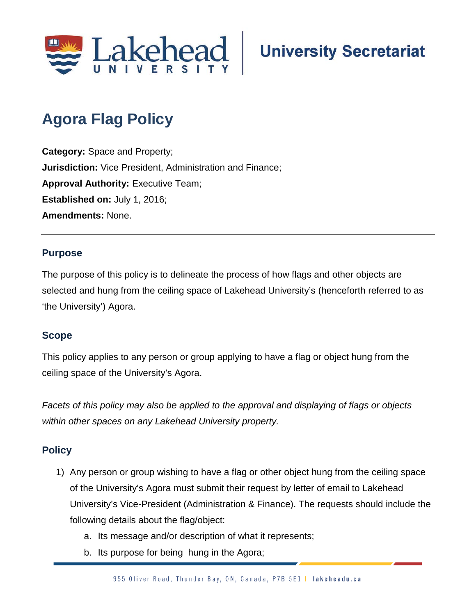

# **Agora Flag Policy**

**Category:** Space and Property; **Jurisdiction:** Vice President, Administration and Finance; **Approval Authority: Executive Team; Established on:** July 1, 2016; **Amendments:** None.

## **Purpose**

The purpose of this policy is to delineate the process of how flags and other objects are selected and hung from the ceiling space of Lakehead University's (henceforth referred to as 'the University') Agora.

#### **Scope**

This policy applies to any person or group applying to have a flag or object hung from the ceiling space of the University's Agora.

*Facets of this policy may also be applied to the approval and displaying of flags or objects within other spaces on any Lakehead University property.*

# **Policy**

- 1) Any person or group wishing to have a flag or other object hung from the ceiling space of the University's Agora must submit their request by letter of email to Lakehead University's Vice-President (Administration & Finance). The requests should include the following details about the flag/object:
	- a. Its message and/or description of what it represents;
	- b. Its purpose for being hung in the Agora;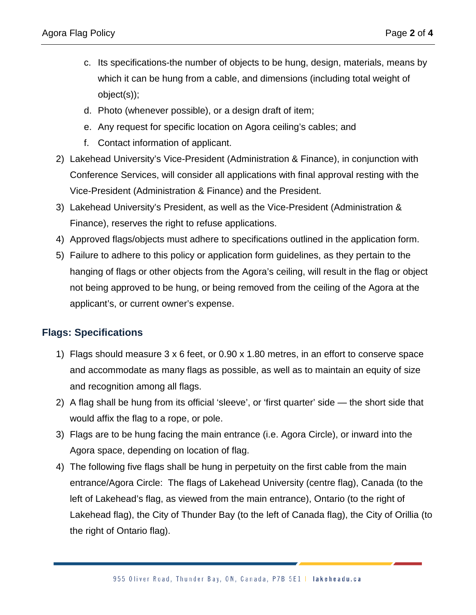- c. Its specifications-the number of objects to be hung, design, materials, means by which it can be hung from a cable, and dimensions (including total weight of object(s));
- d. Photo (whenever possible), or a design draft of item;
- e. Any request for specific location on Agora ceiling's cables; and
- f. Contact information of applicant.
- 2) Lakehead University's Vice-President (Administration & Finance), in conjunction with Conference Services, will consider all applications with final approval resting with the Vice-President (Administration & Finance) and the President.
- 3) Lakehead University's President, as well as the Vice-President (Administration & Finance), reserves the right to refuse applications.
- 4) Approved flags/objects must adhere to specifications outlined in the application form.
- 5) Failure to adhere to this policy or application form guidelines, as they pertain to the hanging of flags or other objects from the Agora's ceiling, will result in the flag or object not being approved to be hung, or being removed from the ceiling of the Agora at the applicant's, or current owner's expense.

## **Flags: Specifications**

- 1) Flags should measure 3 x 6 feet, or 0.90 x 1.80 metres, in an effort to conserve space and accommodate as many flags as possible, as well as to maintain an equity of size and recognition among all flags.
- 2) A flag shall be hung from its official 'sleeve', or 'first quarter' side the short side that would affix the flag to a rope, or pole.
- 3) Flags are to be hung facing the main entrance (i.e. Agora Circle), or inward into the Agora space, depending on location of flag.
- 4) The following five flags shall be hung in perpetuity on the first cable from the main entrance/Agora Circle: The flags of Lakehead University (centre flag), Canada (to the left of Lakehead's flag, as viewed from the main entrance), Ontario (to the right of Lakehead flag), the City of Thunder Bay (to the left of Canada flag), the City of Orillia (to the right of Ontario flag).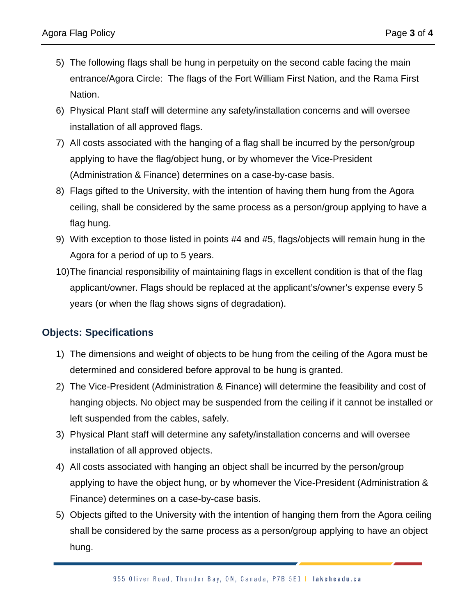- 5) The following flags shall be hung in perpetuity on the second cable facing the main entrance/Agora Circle: The flags of the Fort William First Nation, and the Rama First Nation.
- 6) Physical Plant staff will determine any safety/installation concerns and will oversee installation of all approved flags.
- 7) All costs associated with the hanging of a flag shall be incurred by the person/group applying to have the flag/object hung, or by whomever the Vice-President (Administration & Finance) determines on a case-by-case basis.
- 8) Flags gifted to the University, with the intention of having them hung from the Agora ceiling, shall be considered by the same process as a person/group applying to have a flag hung.
- 9) With exception to those listed in points #4 and #5, flags/objects will remain hung in the Agora for a period of up to 5 years.
- 10)The financial responsibility of maintaining flags in excellent condition is that of the flag applicant/owner. Flags should be replaced at the applicant's/owner's expense every 5 years (or when the flag shows signs of degradation).

# **Objects: Specifications**

- 1) The dimensions and weight of objects to be hung from the ceiling of the Agora must be determined and considered before approval to be hung is granted.
- 2) The Vice-President (Administration & Finance) will determine the feasibility and cost of hanging objects. No object may be suspended from the ceiling if it cannot be installed or left suspended from the cables, safely.
- 3) Physical Plant staff will determine any safety/installation concerns and will oversee installation of all approved objects.
- 4) All costs associated with hanging an object shall be incurred by the person/group applying to have the object hung, or by whomever the Vice-President (Administration & Finance) determines on a case-by-case basis.
- 5) Objects gifted to the University with the intention of hanging them from the Agora ceiling shall be considered by the same process as a person/group applying to have an object hung.